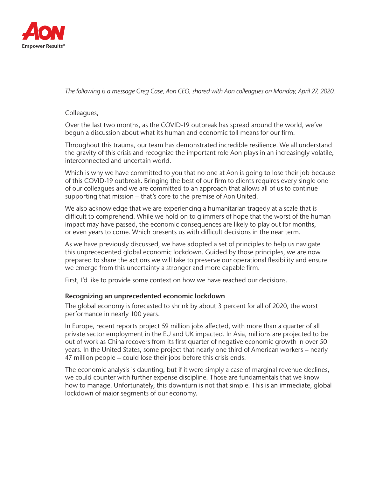

*The following is a message Greg Case, Aon CEO, shared with Aon colleagues on Monday, April 27, 2020.*

Colleagues,

Over the last two months, as the COVID-19 outbreak has spread around the world, we've begun a discussion about what its human and economic toll means for our firm.

Throughout this trauma, our team has demonstrated incredible resilience. We all understand the gravity of this crisis and recognize the important role Aon plays in an increasingly volatile, interconnected and uncertain world.

Which is why we have committed to you that no one at Aon is going to lose their job because of this COVID-19 outbreak. Bringing the best of our firm to clients requires every single one of our colleagues and we are committed to an approach that allows all of us to continue supporting that mission – that's core to the premise of Aon United.

We also acknowledge that we are experiencing a humanitarian tragedy at a scale that is difficult to comprehend. While we hold on to glimmers of hope that the worst of the human impact may have passed, the economic consequences are likely to play out for months, or even years to come. Which presents us with difficult decisions in the near term.

As we have previously discussed, we have adopted a set of principles to help us navigate this unprecedented global economic lockdown. Guided by those principles, we are now prepared to share the actions we will take to preserve our operational flexibility and ensure we emerge from this uncertainty a stronger and more capable firm.

First, I'd like to provide some context on how we have reached our decisions.

# Recognizing an unprecedented economic lockdown

The global economy is forecasted to shrink by about 3 percent for all of 2020, the worst performance in nearly 100 years.

In Europe, recent reports project 59 million jobs affected, with more than a quarter of all private sector employment in the EU and UK impacted. In Asia, millions are projected to be out of work as China recovers from its first quarter of negative economic growth in over 50 years. In the United States, some project that nearly one third of American workers – nearly 47 million people – could lose their jobs before this crisis ends.

The economic analysis is daunting, but if it were simply a case of marginal revenue declines, we could counter with further expense discipline. Those are fundamentals that we know how to manage. Unfortunately, this downturn is not that simple. This is an immediate, global lockdown of major segments of our economy.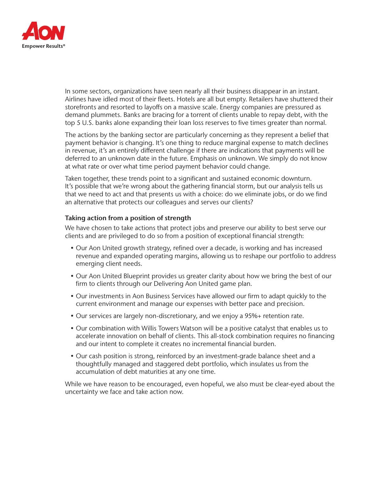

In some sectors, organizations have seen nearly all their business disappear in an instant. Airlines have idled most of their fleets. Hotels are all but empty. Retailers have shuttered their storefronts and resorted to layoffs on a massive scale. Energy companies are pressured as demand plummets. Banks are bracing for a torrent of clients unable to repay debt, with the top 5 U.S. banks alone expanding their loan loss reserves to five times greater than normal.

The actions by the banking sector are particularly concerning as they represent a belief that payment behavior is changing. It's one thing to reduce marginal expense to match declines in revenue, it's an entirely different challenge if there are indications that payments will be deferred to an unknown date in the future. Emphasis on unknown. We simply do not know at what rate or over what time period payment behavior could change.

Taken together, these trends point to a significant and sustained economic downturn. It's possible that we're wrong about the gathering financial storm, but our analysis tells us that we need to act and that presents us with a choice: do we eliminate jobs, or do we find an alternative that protects our colleagues and serves our clients?

# Taking action from a position of strength

We have chosen to take actions that protect jobs and preserve our ability to best serve our clients and are privileged to do so from a position of exceptional financial strength:

- Our Aon United growth strategy, refined over a decade, is working and has increased revenue and expanded operating margins, allowing us to reshape our portfolio to address emerging client needs.
- Our Aon United Blueprint provides us greater clarity about how we bring the best of our firm to clients through our Delivering Aon United game plan.
- Our investments in Aon Business Services have allowed our firm to adapt quickly to the current environment and manage our expenses with better pace and precision.
- Our services are largely non-discretionary, and we enjoy a 95%+ retention rate.
- Our combination with Willis Towers Watson will be a positive catalyst that enables us to accelerate innovation on behalf of clients. This all-stock combination requires no financing and our intent to complete it creates no incremental financial burden.
- Our cash position is strong, reinforced by an investment-grade balance sheet and a thoughtfully managed and staggered debt portfolio, which insulates us from the accumulation of debt maturities at any one time.

While we have reason to be encouraged, even hopeful, we also must be clear-eyed about the uncertainty we face and take action now.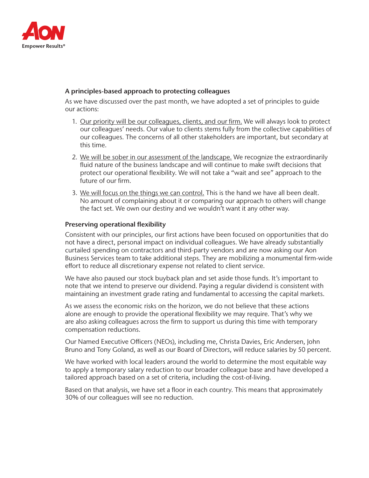

# A principles-based approach to protecting colleagues

As we have discussed over the past month, we have adopted a set of principles to guide our actions:

- 1. Our priority will be our colleagues, clients, and our firm. We will always look to protect our colleagues' needs. Our value to clients stems fully from the collective capabilities of our colleagues. The concerns of all other stakeholders are important, but secondary at this time.
- 2. We will be sober in our assessment of the landscape. We recognize the extraordinarily fluid nature of the business landscape and will continue to make swift decisions that protect our operational flexibility. We will not take a "wait and see" approach to the future of our firm.
- 3. We will focus on the things we can control. This is the hand we have all been dealt. No amount of complaining about it or comparing our approach to others will change the fact set. We own our destiny and we wouldn't want it any other way.

# Preserving operational flexibility

Consistent with our principles, our first actions have been focused on opportunities that do not have a direct, personal impact on individual colleagues. We have already substantially curtailed spending on contractors and third-party vendors and are now asking our Aon Business Services team to take additional steps. They are mobilizing a monumental firm-wide effort to reduce all discretionary expense not related to client service.

We have also paused our stock buyback plan and set aside those funds. It's important to note that we intend to preserve our dividend. Paying a regular dividend is consistent with maintaining an investment grade rating and fundamental to accessing the capital markets.

As we assess the economic risks on the horizon, we do not believe that these actions alone are enough to provide the operational flexibility we may require. That's why we are also asking colleagues across the firm to support us during this time with temporary compensation reductions.

Our Named Executive Officers (NEOs), including me, Christa Davies, Eric Andersen, John Bruno and Tony Goland, as well as our Board of Directors, will reduce salaries by 50 percent.

We have worked with local leaders around the world to determine the most equitable way to apply a temporary salary reduction to our broader colleague base and have developed a tailored approach based on a set of criteria, including the cost-of-living.

Based on that analysis, we have set a floor in each country. This means that approximately 30% of our colleagues will see no reduction.